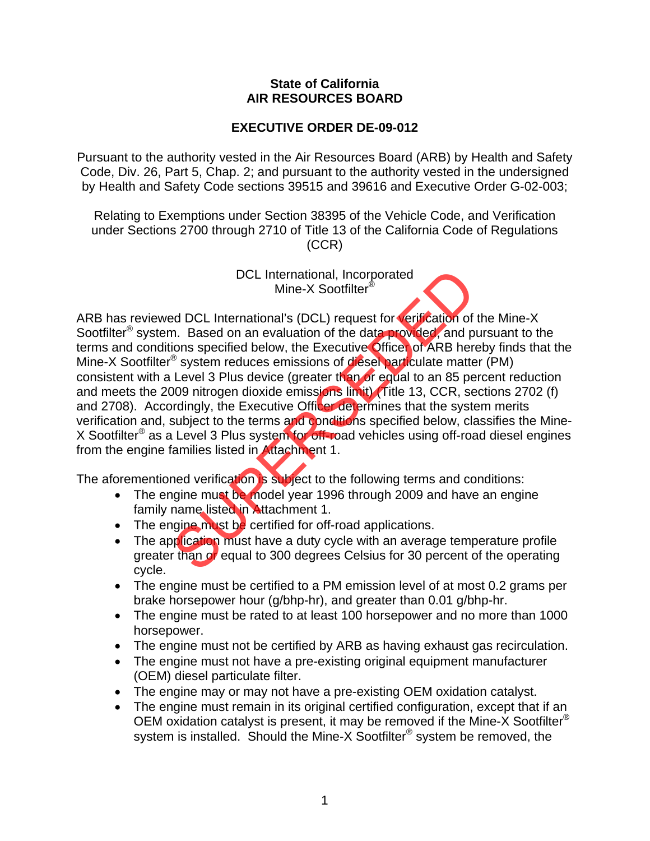## **State of California AIR RESOURCES BOARD**

## **EXECUTIVE ORDER DE-09-012**

Pursuant to the authority vested in the Air Resources Board (ARB) by Health and Safety Code, Div. 26, Part 5, Chap. 2; and pursuant to the authority vested in the undersigned by Health and Safety Code sections 39515 and 39616 and Executive Order G-02-003;

Relating to Exemptions under Section 38395 of the Vehicle Code, and Verification under Sections 2700 through 2710 of Title 13 of the California Code of Regulations (CCR)

> DCL International, Incorporated Mine-X Sootfilter<sup>®</sup>

ARB has reviewed DCL International's (DCL) request for verification of the Mine-X Sootfilter<sup>®</sup> system. Based on an evaluation of the data provided, and pursuant to the terms and conditions specified below, the Executive Officer of ARB hereby finds that the Mine-X Sootfilter® system reduces emissions of diesel particulate matter (PM) consistent with a Level 3 Plus device (greater than or equal to an 85 percent reduction and meets the 2009 nitrogen dioxide emissions limit) (Title 13, CCR, sections 2702 (f) and 2708). Accordingly, the Executive Officer determines that the system merits verification and, subject to the terms and conditions specified below, classifies the Mine-X Sootfilter® as a Level 3 Plus system for off-road vehicles using off-road diesel engines from the engine families listed in Attachment 1. DCL International, Incorporated<br>
Mine-X Sootfilter®<br>
ad DCL International's (DCL) request for **verification** of<br>
n. Based on an evaluation of the data provider, and p<br>
system reduces emissions of diese particulate matter<br>

The aforementioned verification is subject to the following terms and conditions:

- The engine must be model year 1996 through 2009 and have an engine family name listed in Attachment 1.
- The engine must be certified for off-road applications.
- The application must have a duty cycle with an average temperature profile greater than or equal to 300 degrees Celsius for 30 percent of the operating cycle.
- The engine must be certified to a PM emission level of at most 0.2 grams per brake horsepower hour (g/bhp-hr), and greater than 0.01 g/bhp-hr.
- The engine must be rated to at least 100 horsepower and no more than 1000 horsepower.
- The engine must not be certified by ARB as having exhaust gas recirculation.
- The engine must not have a pre-existing original equipment manufacturer (OEM) diesel particulate filter.
- The engine may or may not have a pre-existing OEM oxidation catalyst.
- The engine must remain in its original certified configuration, except that if an OEM oxidation catalyst is present, it may be removed if the Mine-X Sootfilter® system is installed. Should the Mine-X Sootfilter<sup>®</sup> system be removed, the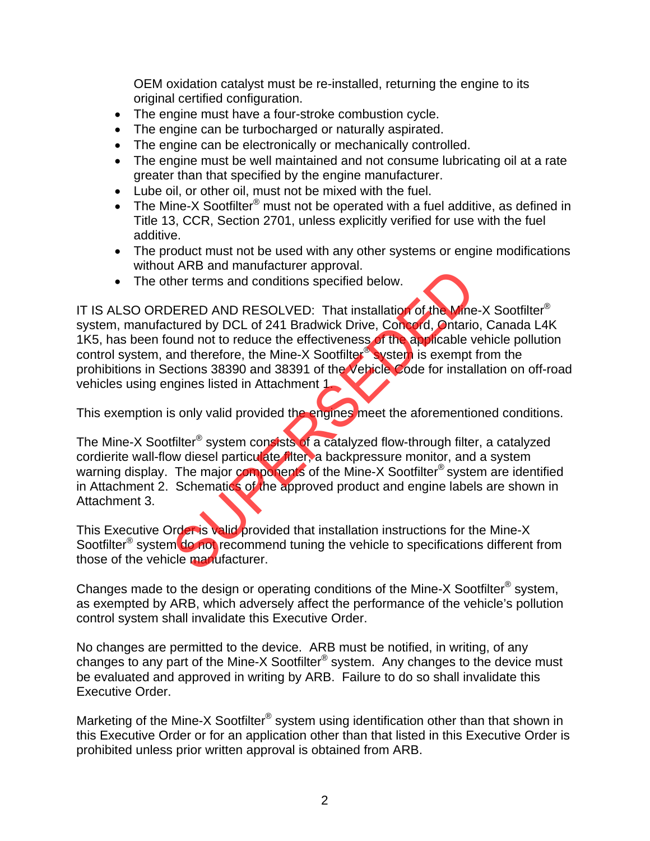OEM oxidation catalyst must be re-installed, returning the engine to its original certified configuration.

- The engine must have a four-stroke combustion cycle.
- The engine can be turbocharged or naturally aspirated.
- The engine can be electronically or mechanically controlled.
- The engine must be well maintained and not consume lubricating oil at a rate greater than that specified by the engine manufacturer.
- Lube oil, or other oil, must not be mixed with the fuel.
- The Mine-X Sootfilter<sup>®</sup> must not be operated with a fuel additive, as defined in Title 13, CCR, Section 2701, unless explicitly verified for use with the fuel additive.
- The product must not be used with any other systems or engine modifications without ARB and manufacturer approval.
- The other terms and conditions specified below.

IT IS ALSO ORDERED AND RESOLVED: That installation of the Mine-X Sootfilter<sup>®</sup> system, manufactured by DCL of 241 Bradwick Drive, Concord, Ontario, Canada L4K 1K5, has been found not to reduce the effectiveness of the applicable vehicle pollution control system, and therefore, the Mine-X Sootfilter® system is exempt from the prohibitions in Sections 38390 and 38391 of the Vehicle Code for installation on off-road vehicles using engines listed in Attachment 1. FRED AND RESOLVED: That installation of the Mine<br>ERED AND RESOLVED: That installation of the Mine<br>tured by DCL of 241 Bradwick Drive, Concord, Ontario<br>und not to reduce the effectiveness of the applicable v<br>md therefore, t

This exemption is only valid provided the engines meet the aforementioned conditions.

The Mine-X Sootfilter<sup>®</sup> system consists of a catalyzed flow-through filter, a catalyzed cordierite wall-flow diesel particulate filter, a backpressure monitor, and a system warning display. The major components of the Mine-X Sootfilter<sup>®</sup> system are identified in Attachment 2. Schematics of the approved product and engine labels are shown in Attachment 3.

This Executive Order is valid provided that installation instructions for the Mine-X Sootfilter<sup>®</sup> system do not recommend tuning the vehicle to specifications different from those of the vehicle manufacturer.

Changes made to the design or operating conditions of the Mine-X Sootfilter® system, as exempted by ARB, which adversely affect the performance of the vehicle's pollution control system shall invalidate this Executive Order.

No changes are permitted to the device. ARB must be notified, in writing, of any changes to any part of the Mine-X Sootfilter® system. Any changes to the device must be evaluated and approved in writing by ARB. Failure to do so shall invalidate this Executive Order.

Marketing of the Mine-X Sootfilter<sup>®</sup> system using identification other than that shown in this Executive Order or for an application other than that listed in this Executive Order is prohibited unless prior written approval is obtained from ARB.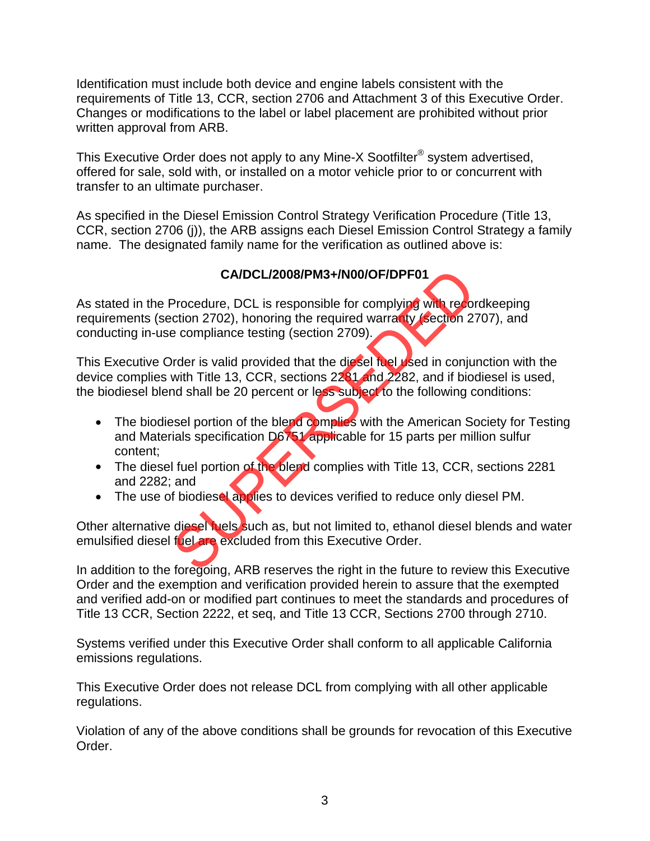Identification must include both device and engine labels consistent with the requirements of Title 13, CCR, section 2706 and Attachment 3 of this Executive Order. Changes or modifications to the label or label placement are prohibited without prior written approval from ARB.

This Executive Order does not apply to any Mine-X Sootfilter® system advertised, offered for sale, sold with, or installed on a motor vehicle prior to or concurrent with transfer to an ultimate purchaser.

As specified in the Diesel Emission Control Strategy Verification Procedure (Title 13, CCR, section 2706 (j)), the ARB assigns each Diesel Emission Control Strategy a family name. The designated family name for the verification as outlined above is:

## **CA/DCL/2008/PM3+/N00/OF/DPF01**

As stated in the Procedure, DCL is responsible for complying with recordkeeping requirements (section 2702), honoring the required warranty (section 2707), and conducting in-use compliance testing (section 2709). CA/DCL/2008/PM3+/N00/OF/DPF01<br>Procedure, DCL is responsible for complying with recordion 2702), honoring the required warrarity (section 2<br>e compliance testing (section 2709).<br>Proter is valid provided that the dissel fuel

This Executive Order is valid provided that the diesel fuel used in conjunction with the device complies with Title 13, CCR, sections 2281 and 2282, and if biodiesel is used, the biodiesel blend shall be 20 percent or less subject to the following conditions:

- The biodiesel portion of the blend complies with the American Society for Testing and Materials specification D6751 applicable for 15 parts per million sulfur content;
- The diesel fuel portion of the blend complies with Title 13, CCR, sections 2281 and 2282; and
- The use of biodiesel applies to devices verified to reduce only diesel PM.

Other alternative diesel fuels such as, but not limited to, ethanol diesel blends and water emulsified diesel fuel are excluded from this Executive Order.

In addition to the foregoing, ARB reserves the right in the future to review this Executive Order and the exemption and verification provided herein to assure that the exempted and verified add-on or modified part continues to meet the standards and procedures of Title 13 CCR, Section 2222, et seq, and Title 13 CCR, Sections 2700 through 2710.

Systems verified under this Executive Order shall conform to all applicable California emissions regulations.

This Executive Order does not release DCL from complying with all other applicable regulations.

Violation of any of the above conditions shall be grounds for revocation of this Executive Order.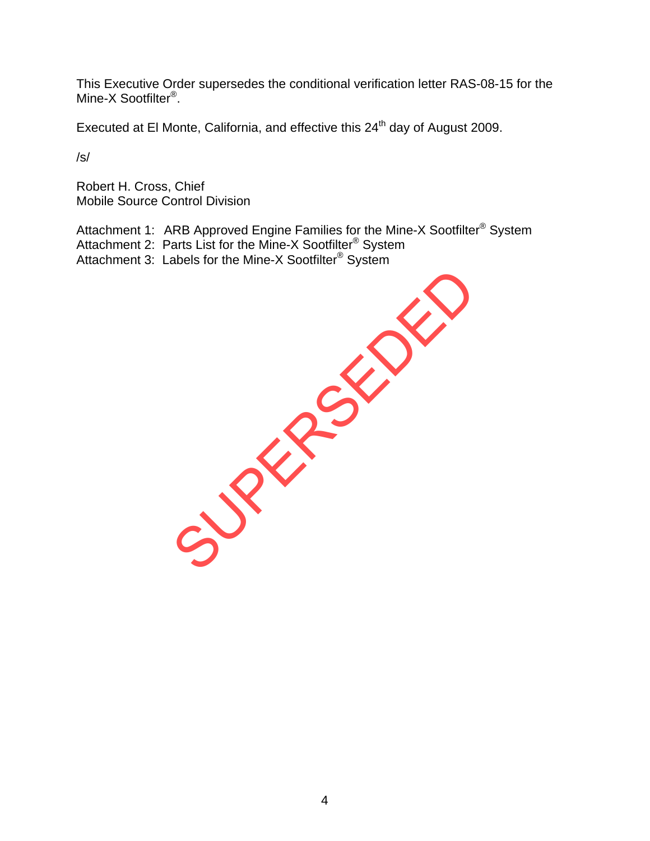This Executive Order supersedes the conditional verification letter RAS-08-15 for the Mine-X Sootfilter<sup>®</sup>.

Executed at El Monte, California, and effective this 24<sup>th</sup> day of August 2009.

/s/

Robert H. Cross, Chief Mobile Source Control Division

Attachment 1: ARB Approved Engine Families for the Mine-X Sootfilter<sup>®</sup> System Attachment 2: Parts List for the Mine-X Sootfilter<sup>®</sup> System Attachment 3: Labels for the Mine-X Sootfilter® System

SUPERSEDED